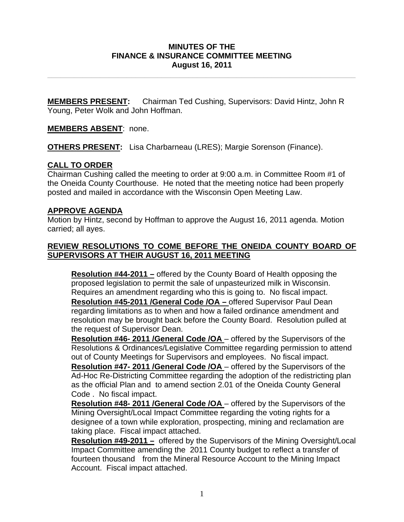#### **MINUTES OF THE FINANCE & INSURANCE COMMITTEE MEETING August 16, 2011**

**\_\_\_\_\_\_\_\_\_\_\_\_\_\_\_\_\_\_\_\_\_\_\_\_\_\_\_\_\_\_\_\_\_\_\_\_\_\_\_\_\_\_\_\_\_\_\_\_\_\_\_\_\_\_\_\_\_\_\_\_\_\_\_\_\_\_\_\_\_\_** 

**MEMBERS PRESENT:** Chairman Ted Cushing, Supervisors: David Hintz, John R Young, Peter Wolk and John Hoffman.

## **MEMBERS ABSENT**: none.

**OTHERS PRESENT:** Lisa Charbarneau (LRES); Margie Sorenson (Finance).

## **CALL TO ORDER**

Chairman Cushing called the meeting to order at 9:00 a.m. in Committee Room #1 of the Oneida County Courthouse. He noted that the meeting notice had been properly posted and mailed in accordance with the Wisconsin Open Meeting Law.

#### **APPROVE AGENDA**

Motion by Hintz, second by Hoffman to approve the August 16, 2011 agenda. Motion carried; all ayes.

### **REVIEW RESOLUTIONS TO COME BEFORE THE ONEIDA COUNTY BOARD OF SUPERVISORS AT THEIR AUGUST 16, 2011 MEETING**

**Resolution #44-2011 –** offered by the County Board of Health opposing the proposed legislation to permit the sale of unpasteurized milk in Wisconsin. Requires an amendment regarding who this is going to. No fiscal impact. **Resolution #45-2011 /General Code /OA –** offered Supervisor Paul Dean regarding limitations as to when and how a failed ordinance amendment and resolution may be brought back before the County Board. Resolution pulled at the request of Supervisor Dean.

**Resolution #46- 2011 /General Code /OA** – offered by the Supervisors of the Resolutions & Ordinances/Legislative Committee regarding permission to attend out of County Meetings for Supervisors and employees. No fiscal impact. **Resolution #47- 2011 /General Code /OA** – offered by the Supervisors of the Ad-Hoc Re-Districting Committee regarding the adoption of the redistricting plan as the official Plan and to amend section 2.01 of the Oneida County General Code . No fiscal impact.

**Resolution #48- 2011 /General Code /OA** – offered by the Supervisors of the Mining Oversight/Local Impact Committee regarding the voting rights for a designee of a town while exploration, prospecting, mining and reclamation are taking place. Fiscal impact attached.

**Resolution #49-2011 –** offered by the Supervisors of the Mining Oversight/Local Impact Committee amending the 2011 County budget to reflect a transfer of fourteen thousand from the Mineral Resource Account to the Mining Impact Account. Fiscal impact attached.